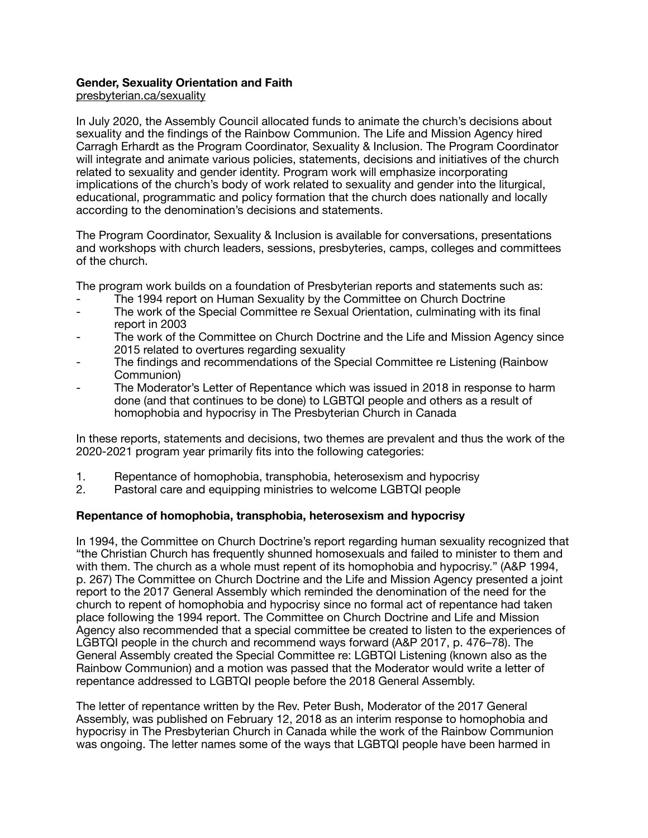## **Gender, Sexuality Orientation and Faith**

[presbyterian.ca/sexuality](http://presbyterian.ca/sexuality)

In July 2020, the Assembly Council allocated funds to animate the church's decisions about sexuality and the findings of the Rainbow Communion. The Life and Mission Agency hired Carragh Erhardt as the Program Coordinator, Sexuality & Inclusion. The Program Coordinator will integrate and animate various policies, statements, decisions and initiatives of the church related to sexuality and gender identity. Program work will emphasize incorporating implications of the church's body of work related to sexuality and gender into the liturgical, educational, programmatic and policy formation that the church does nationally and locally according to the denomination's decisions and statements.

The Program Coordinator, Sexuality & Inclusion is available for conversations, presentations and workshops with church leaders, sessions, presbyteries, camps, colleges and committees of the church.

The program work builds on a foundation of Presbyterian reports and statements such as:

- The 1994 report on Human Sexuality by the Committee on Church Doctrine
- The work of the Special Committee re Sexual Orientation, culminating with its final report in 2003
- The work of the Committee on Church Doctrine and the Life and Mission Agency since 2015 related to overtures regarding sexuality
- The findings and recommendations of the Special Committee re Listening (Rainbow Communion)
- The Moderator's Letter of Repentance which was issued in 2018 in response to harm done (and that continues to be done) to LGBTQI people and others as a result of homophobia and hypocrisy in The Presbyterian Church in Canada

In these reports, statements and decisions, two themes are prevalent and thus the work of the 2020-2021 program year primarily fits into the following categories:

- 1. Repentance of homophobia, transphobia, heterosexism and hypocrisy
- 2. Pastoral care and equipping ministries to welcome LGBTQI people

# **Repentance of homophobia, transphobia, heterosexism and hypocrisy**

In 1994, the Committee on Church Doctrine's report regarding human sexuality recognized that "the Christian Church has frequently shunned homosexuals and failed to minister to them and with them. The church as a whole must repent of its homophobia and hypocrisy." (A&P 1994, p. 267) The Committee on Church Doctrine and the Life and Mission Agency presented a joint report to the 2017 General Assembly which reminded the denomination of the need for the church to repent of homophobia and hypocrisy since no formal act of repentance had taken place following the 1994 report. The Committee on Church Doctrine and Life and Mission Agency also recommended that a special committee be created to listen to the experiences of LGBTQI people in the church and recommend ways forward (A&P 2017, p. 476–78). The General Assembly created the Special Committee re: LGBTQI Listening (known also as the Rainbow Communion) and a motion was passed that the Moderator would write a letter of repentance addressed to LGBTQI people before the 2018 General Assembly.

The letter of repentance written by the Rev. Peter Bush, Moderator of the 2017 General Assembly, was published on February 12, 2018 as an interim response to homophobia and hypocrisy in The Presbyterian Church in Canada while the work of the Rainbow Communion was ongoing. The letter names some of the ways that LGBTQI people have been harmed in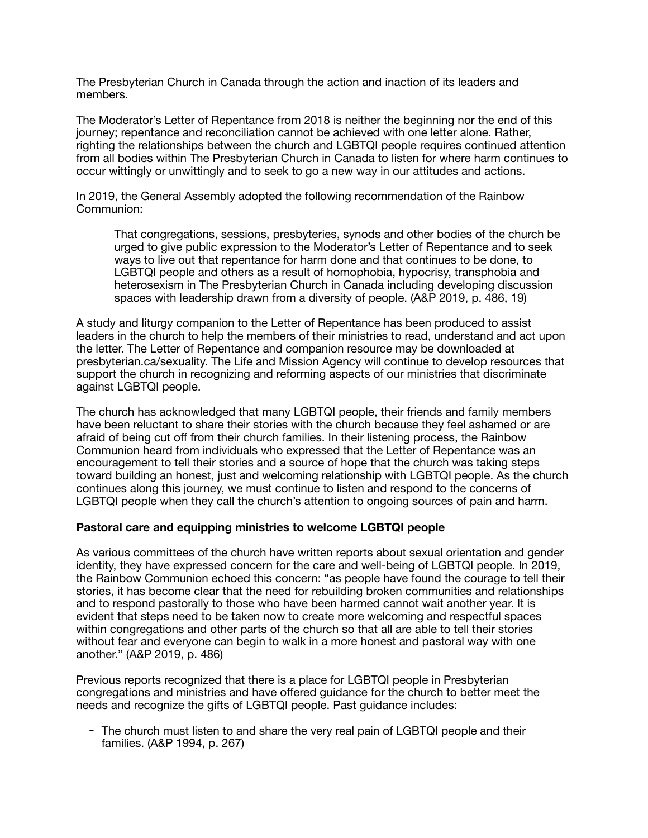The Presbyterian Church in Canada through the action and inaction of its leaders and members.

The Moderator's Letter of Repentance from 2018 is neither the beginning nor the end of this journey; repentance and reconciliation cannot be achieved with one letter alone. Rather, righting the relationships between the church and LGBTQI people requires continued attention from all bodies within The Presbyterian Church in Canada to listen for where harm continues to occur wittingly or unwittingly and to seek to go a new way in our attitudes and actions.

In 2019, the General Assembly adopted the following recommendation of the Rainbow Communion:

That congregations, sessions, presbyteries, synods and other bodies of the church be urged to give public expression to the Moderator's Letter of Repentance and to seek ways to live out that repentance for harm done and that continues to be done, to LGBTQI people and others as a result of homophobia, hypocrisy, transphobia and heterosexism in The Presbyterian Church in Canada including developing discussion spaces with leadership drawn from a diversity of people. (A&P 2019, p. 486, 19)

A study and liturgy companion to the Letter of Repentance has been produced to assist leaders in the church to help the members of their ministries to read, understand and act upon the letter. The Letter of Repentance and companion resource may be downloaded at presbyterian.ca/sexuality. The Life and Mission Agency will continue to develop resources that support the church in recognizing and reforming aspects of our ministries that discriminate against LGBTQI people.

The church has acknowledged that many LGBTQI people, their friends and family members have been reluctant to share their stories with the church because they feel ashamed or are afraid of being cut off from their church families. In their listening process, the Rainbow Communion heard from individuals who expressed that the Letter of Repentance was an encouragement to tell their stories and a source of hope that the church was taking steps toward building an honest, just and welcoming relationship with LGBTQI people. As the church continues along this journey, we must continue to listen and respond to the concerns of LGBTQI people when they call the church's attention to ongoing sources of pain and harm.

#### **Pastoral care and equipping ministries to welcome LGBTQI people**

As various committees of the church have written reports about sexual orientation and gender identity, they have expressed concern for the care and well-being of LGBTQI people. In 2019, the Rainbow Communion echoed this concern: "as people have found the courage to tell their stories, it has become clear that the need for rebuilding broken communities and relationships and to respond pastorally to those who have been harmed cannot wait another year. It is evident that steps need to be taken now to create more welcoming and respectful spaces within congregations and other parts of the church so that all are able to tell their stories without fear and everyone can begin to walk in a more honest and pastoral way with one another." (A&P 2019, p. 486)

Previous reports recognized that there is a place for LGBTQI people in Presbyterian congregations and ministries and have offered guidance for the church to better meet the needs and recognize the gifts of LGBTQI people. Past guidance includes:

- The church must listen to and share the very real pain of LGBTQI people and their families. (A&P 1994, p. 267)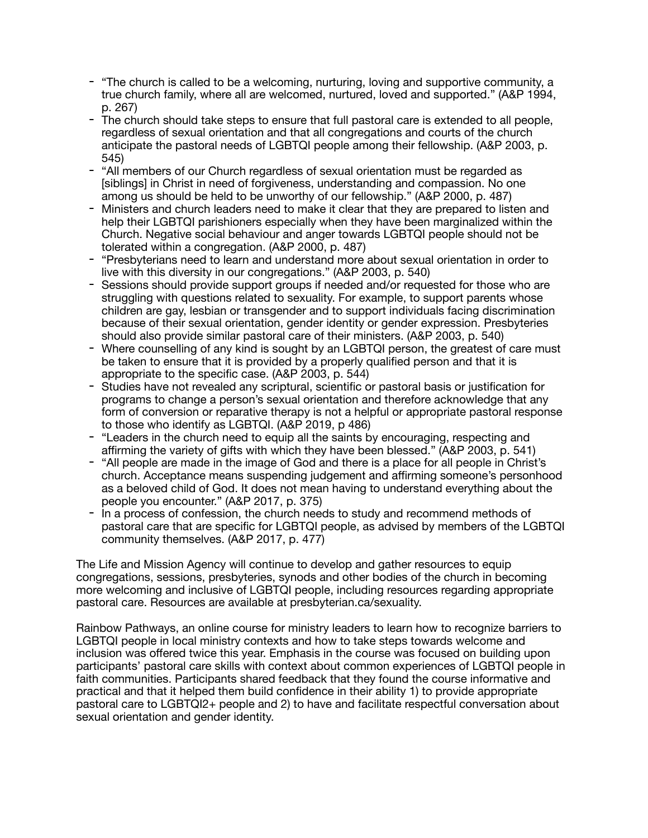- "The church is called to be a welcoming, nurturing, loving and supportive community, a true church family, where all are welcomed, nurtured, loved and supported." (A&P 1994, p. 267)
- The church should take steps to ensure that full pastoral care is extended to all people, regardless of sexual orientation and that all congregations and courts of the church anticipate the pastoral needs of LGBTQI people among their fellowship. (A&P 2003, p. 545)
- "All members of our Church regardless of sexual orientation must be regarded as [siblings] in Christ in need of forgiveness, understanding and compassion. No one among us should be held to be unworthy of our fellowship." (A&P 2000, p. 487)
- Ministers and church leaders need to make it clear that they are prepared to listen and help their LGBTQI parishioners especially when they have been marginalized within the Church. Negative social behaviour and anger towards LGBTQI people should not be tolerated within a congregation. (A&P 2000, p. 487)
- "Presbyterians need to learn and understand more about sexual orientation in order to live with this diversity in our congregations." (A&P 2003, p. 540)
- Sessions should provide support groups if needed and/or requested for those who are struggling with questions related to sexuality. For example, to support parents whose children are gay, lesbian or transgender and to support individuals facing discrimination because of their sexual orientation, gender identity or gender expression. Presbyteries should also provide similar pastoral care of their ministers. (A&P 2003, p. 540)
- Where counselling of any kind is sought by an LGBTQI person, the greatest of care must be taken to ensure that it is provided by a properly qualified person and that it is appropriate to the specific case. (A&P 2003, p. 544)
- Studies have not revealed any scriptural, scientific or pastoral basis or justification for programs to change a person's sexual orientation and therefore acknowledge that any form of conversion or reparative therapy is not a helpful or appropriate pastoral response to those who identify as LGBTQI. (A&P 2019, p 486)
- "Leaders in the church need to equip all the saints by encouraging, respecting and affirming the variety of gifts with which they have been blessed." (A&P 2003, p. 541)
- "All people are made in the image of God and there is a place for all people in Christ's church. Acceptance means suspending judgement and affirming someone's personhood as a beloved child of God. It does not mean having to understand everything about the people you encounter." (A&P 2017, p. 375)
- In a process of confession, the church needs to study and recommend methods of pastoral care that are specific for LGBTQI people, as advised by members of the LGBTQI community themselves. (A&P 2017, p. 477)

The Life and Mission Agency will continue to develop and gather resources to equip congregations, sessions, presbyteries, synods and other bodies of the church in becoming more welcoming and inclusive of LGBTQI people, including resources regarding appropriate pastoral care. Resources are available at presbyterian.ca/sexuality.

Rainbow Pathways, an online course for ministry leaders to learn how to recognize barriers to LGBTQI people in local ministry contexts and how to take steps towards welcome and inclusion was offered twice this year. Emphasis in the course was focused on building upon participants' pastoral care skills with context about common experiences of LGBTQI people in faith communities. Participants shared feedback that they found the course informative and practical and that it helped them build confidence in their ability 1) to provide appropriate pastoral care to LGBTQI2+ people and 2) to have and facilitate respectful conversation about sexual orientation and gender identity.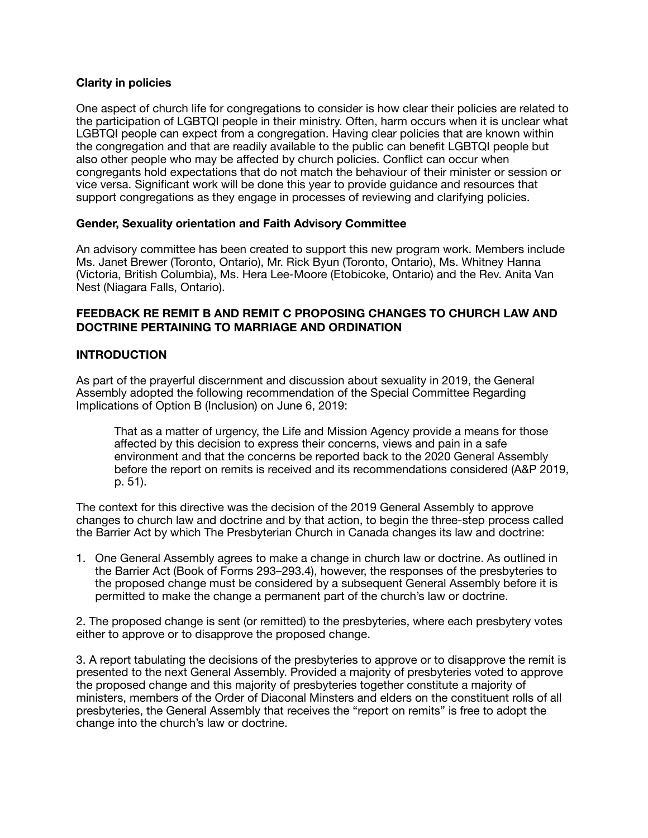## **Clarity in policies**

One aspect of church life for congregations to consider is how clear their policies are related to the participation of LGBTQI people in their ministry. Often, harm occurs when it is unclear what LGBTQI people can expect from a congregation. Having clear policies that are known within the congregation and that are readily available to the public can benefit LGBTQI people but also other people who may be affected by church policies. Conflict can occur when congregants hold expectations that do not match the behaviour of their minister or session or vice versa. Significant work will be done this year to provide guidance and resources that support congregations as they engage in processes of reviewing and clarifying policies.

## **Gender, Sexuality orientation and Faith Advisory Committee**

An advisory committee has been created to support this new program work. Members include Ms. Janet Brewer (Toronto, Ontario), Mr. Rick Byun (Toronto, Ontario), Ms. Whitney Hanna (Victoria, British Columbia), Ms. Hera Lee-Moore (Etobicoke, Ontario) and the Rev. Anita Van Nest (Niagara Falls, Ontario).

# **FEEDBACK RE REMIT B AND REMIT C PROPOSING CHANGES TO CHURCH LAW AND DOCTRINE PERTAINING TO MARRIAGE AND ORDINATION**

## **INTRODUCTION**

As part of the prayerful discernment and discussion about sexuality in 2019, the General Assembly adopted the following recommendation of the Special Committee Regarding Implications of Option B (Inclusion) on June 6, 2019:

That as a matter of urgency, the Life and Mission Agency provide a means for those affected by this decision to express their concerns, views and pain in a safe environment and that the concerns be reported back to the 2020 General Assembly before the report on remits is received and its recommendations considered (A&P 2019, p. 51).

The context for this directive was the decision of the 2019 General Assembly to approve changes to church law and doctrine and by that action, to begin the three-step process called the Barrier Act by which The Presbyterian Church in Canada changes its law and doctrine:

1. One General Assembly agrees to make a change in church law or doctrine. As outlined in the Barrier Act (Book of Forms 293–293.4), however, the responses of the presbyteries to the proposed change must be considered by a subsequent General Assembly before it is permitted to make the change a permanent part of the church's law or doctrine.

2. The proposed change is sent (or remitted) to the presbyteries, where each presbytery votes either to approve or to disapprove the proposed change.

3. A report tabulating the decisions of the presbyteries to approve or to disapprove the remit is presented to the next General Assembly. Provided a majority of presbyteries voted to approve the proposed change and this majority of presbyteries together constitute a majority of ministers, members of the Order of Diaconal Minsters and elders on the constituent rolls of all presbyteries, the General Assembly that receives the "report on remits" is free to adopt the change into the church's law or doctrine.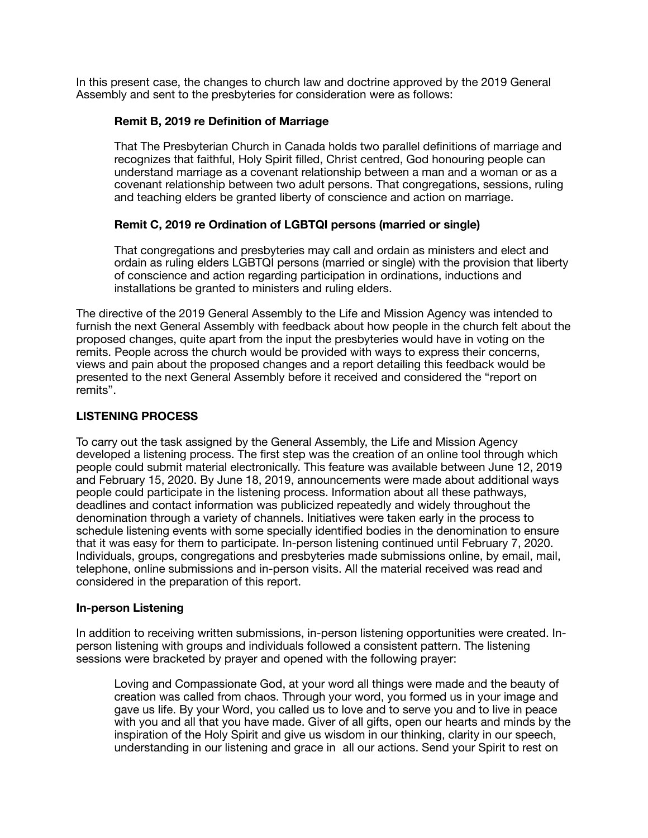In this present case, the changes to church law and doctrine approved by the 2019 General Assembly and sent to the presbyteries for consideration were as follows:

## **Remit B, 2019 re Definition of Marriage**

That The Presbyterian Church in Canada holds two parallel definitions of marriage and recognizes that faithful, Holy Spirit filled, Christ centred, God honouring people can understand marriage as a covenant relationship between a man and a woman or as a covenant relationship between two adult persons. That congregations, sessions, ruling and teaching elders be granted liberty of conscience and action on marriage.

# **Remit C, 2019 re Ordination of LGBTQI persons (married or single)**

That congregations and presbyteries may call and ordain as ministers and elect and ordain as ruling elders LGBTQI persons (married or single) with the provision that liberty of conscience and action regarding participation in ordinations, inductions and installations be granted to ministers and ruling elders.

The directive of the 2019 General Assembly to the Life and Mission Agency was intended to furnish the next General Assembly with feedback about how people in the church felt about the proposed changes, quite apart from the input the presbyteries would have in voting on the remits. People across the church would be provided with ways to express their concerns, views and pain about the proposed changes and a report detailing this feedback would be presented to the next General Assembly before it received and considered the "report on remits".

## **LISTENING PROCESS**

To carry out the task assigned by the General Assembly, the Life and Mission Agency developed a listening process. The first step was the creation of an online tool through which people could submit material electronically. This feature was available between June 12, 2019 and February 15, 2020. By June 18, 2019, announcements were made about additional ways people could participate in the listening process. Information about all these pathways, deadlines and contact information was publicized repeatedly and widely throughout the denomination through a variety of channels. Initiatives were taken early in the process to schedule listening events with some specially identified bodies in the denomination to ensure that it was easy for them to participate. In-person listening continued until February 7, 2020. Individuals, groups, congregations and presbyteries made submissions online, by email, mail, telephone, online submissions and in-person visits. All the material received was read and considered in the preparation of this report.

#### **In-person Listening**

In addition to receiving written submissions, in-person listening opportunities were created. Inperson listening with groups and individuals followed a consistent pattern. The listening sessions were bracketed by prayer and opened with the following prayer:

Loving and Compassionate God, at your word all things were made and the beauty of creation was called from chaos. Through your word, you formed us in your image and gave us life. By your Word, you called us to love and to serve you and to live in peace with you and all that you have made. Giver of all gifts, open our hearts and minds by the inspiration of the Holy Spirit and give us wisdom in our thinking, clarity in our speech, understanding in our listening and grace in all our actions. Send your Spirit to rest on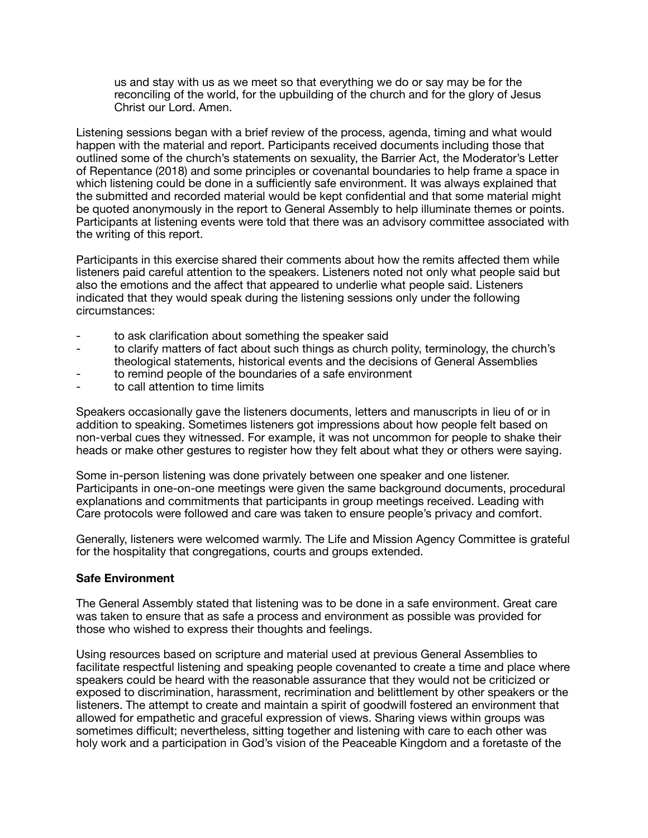us and stay with us as we meet so that everything we do or say may be for the reconciling of the world, for the upbuilding of the church and for the glory of Jesus Christ our Lord. Amen.

Listening sessions began with a brief review of the process, agenda, timing and what would happen with the material and report. Participants received documents including those that outlined some of the church's statements on sexuality, the Barrier Act, the Moderator's Letter of Repentance (2018) and some principles or covenantal boundaries to help frame a space in which listening could be done in a sufficiently safe environment. It was always explained that the submitted and recorded material would be kept confidential and that some material might be quoted anonymously in the report to General Assembly to help illuminate themes or points. Participants at listening events were told that there was an advisory committee associated with the writing of this report.

Participants in this exercise shared their comments about how the remits affected them while listeners paid careful attention to the speakers. Listeners noted not only what people said but also the emotions and the affect that appeared to underlie what people said. Listeners indicated that they would speak during the listening sessions only under the following circumstances:

- to ask clarification about something the speaker said
- to clarify matters of fact about such things as church polity, terminology, the church's theological statements, historical events and the decisions of General Assemblies
- to remind people of the boundaries of a safe environment
- to call attention to time limits

Speakers occasionally gave the listeners documents, letters and manuscripts in lieu of or in addition to speaking. Sometimes listeners got impressions about how people felt based on non-verbal cues they witnessed. For example, it was not uncommon for people to shake their heads or make other gestures to register how they felt about what they or others were saying.

Some in-person listening was done privately between one speaker and one listener. Participants in one-on-one meetings were given the same background documents, procedural explanations and commitments that participants in group meetings received. Leading with Care protocols were followed and care was taken to ensure people's privacy and comfort.

Generally, listeners were welcomed warmly. The Life and Mission Agency Committee is grateful for the hospitality that congregations, courts and groups extended.

#### **Safe Environment**

The General Assembly stated that listening was to be done in a safe environment. Great care was taken to ensure that as safe a process and environment as possible was provided for those who wished to express their thoughts and feelings.

Using resources based on scripture and material used at previous General Assemblies to facilitate respectful listening and speaking people covenanted to create a time and place where speakers could be heard with the reasonable assurance that they would not be criticized or exposed to discrimination, harassment, recrimination and belittlement by other speakers or the listeners. The attempt to create and maintain a spirit of goodwill fostered an environment that allowed for empathetic and graceful expression of views. Sharing views within groups was sometimes difficult; nevertheless, sitting together and listening with care to each other was holy work and a participation in God's vision of the Peaceable Kingdom and a foretaste of the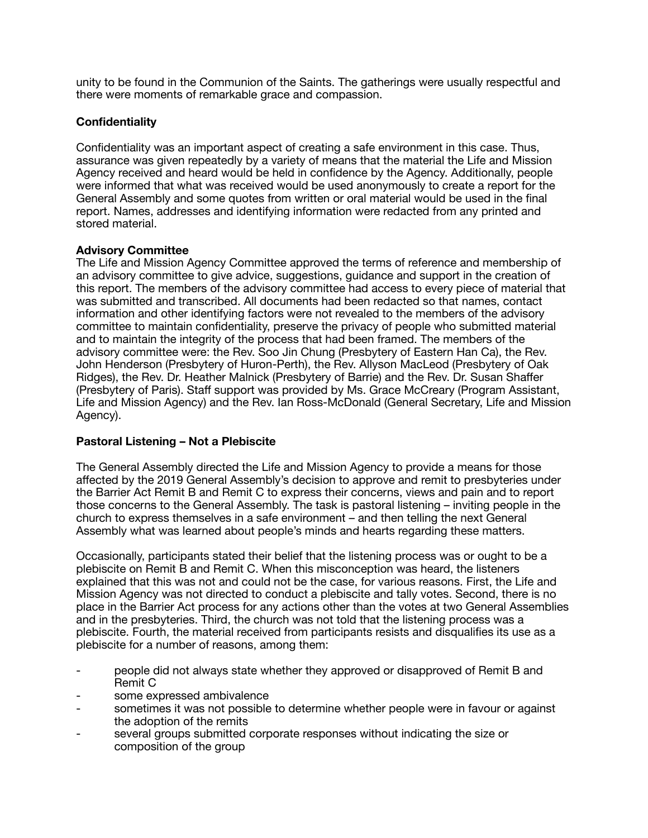unity to be found in the Communion of the Saints. The gatherings were usually respectful and there were moments of remarkable grace and compassion.

# **Confidentiality**

Confidentiality was an important aspect of creating a safe environment in this case. Thus, assurance was given repeatedly by a variety of means that the material the Life and Mission Agency received and heard would be held in confidence by the Agency. Additionally, people were informed that what was received would be used anonymously to create a report for the General Assembly and some quotes from written or oral material would be used in the final report. Names, addresses and identifying information were redacted from any printed and stored material.

#### **Advisory Committee**

The Life and Mission Agency Committee approved the terms of reference and membership of an advisory committee to give advice, suggestions, guidance and support in the creation of this report. The members of the advisory committee had access to every piece of material that was submitted and transcribed. All documents had been redacted so that names, contact information and other identifying factors were not revealed to the members of the advisory committee to maintain confidentiality, preserve the privacy of people who submitted material and to maintain the integrity of the process that had been framed. The members of the advisory committee were: the Rev. Soo Jin Chung (Presbytery of Eastern Han Ca), the Rev. John Henderson (Presbytery of Huron-Perth), the Rev. Allyson MacLeod (Presbytery of Oak Ridges), the Rev. Dr. Heather Malnick (Presbytery of Barrie) and the Rev. Dr. Susan Shaffer (Presbytery of Paris). Staff support was provided by Ms. Grace McCreary (Program Assistant, Life and Mission Agency) and the Rev. Ian Ross-McDonald (General Secretary, Life and Mission Agency).

#### **Pastoral Listening – Not a Plebiscite**

The General Assembly directed the Life and Mission Agency to provide a means for those affected by the 2019 General Assembly's decision to approve and remit to presbyteries under the Barrier Act Remit B and Remit C to express their concerns, views and pain and to report those concerns to the General Assembly. The task is pastoral listening – inviting people in the church to express themselves in a safe environment – and then telling the next General Assembly what was learned about people's minds and hearts regarding these matters.

Occasionally, participants stated their belief that the listening process was or ought to be a plebiscite on Remit B and Remit C. When this misconception was heard, the listeners explained that this was not and could not be the case, for various reasons. First, the Life and Mission Agency was not directed to conduct a plebiscite and tally votes. Second, there is no place in the Barrier Act process for any actions other than the votes at two General Assemblies and in the presbyteries. Third, the church was not told that the listening process was a plebiscite. Fourth, the material received from participants resists and disqualifies its use as a plebiscite for a number of reasons, among them:

- people did not always state whether they approved or disapproved of Remit B and Remit C
- some expressed ambivalence
- sometimes it was not possible to determine whether people were in favour or against the adoption of the remits
- several groups submitted corporate responses without indicating the size or composition of the group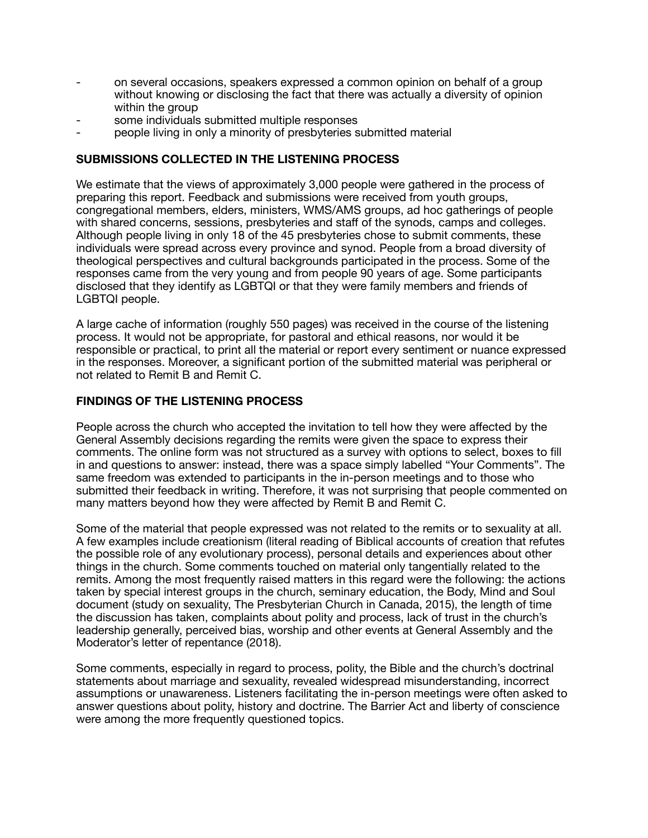- on several occasions, speakers expressed a common opinion on behalf of a group without knowing or disclosing the fact that there was actually a diversity of opinion within the group
- some individuals submitted multiple responses
- people living in only a minority of presbyteries submitted material

# **SUBMISSIONS COLLECTED IN THE LISTENING PROCESS**

We estimate that the views of approximately 3,000 people were gathered in the process of preparing this report. Feedback and submissions were received from youth groups, congregational members, elders, ministers, WMS/AMS groups, ad hoc gatherings of people with shared concerns, sessions, presbyteries and staff of the synods, camps and colleges. Although people living in only 18 of the 45 presbyteries chose to submit comments, these individuals were spread across every province and synod. People from a broad diversity of theological perspectives and cultural backgrounds participated in the process. Some of the responses came from the very young and from people 90 years of age. Some participants disclosed that they identify as LGBTQI or that they were family members and friends of LGBTQI people.

A large cache of information (roughly 550 pages) was received in the course of the listening process. It would not be appropriate, for pastoral and ethical reasons, nor would it be responsible or practical, to print all the material or report every sentiment or nuance expressed in the responses. Moreover, a significant portion of the submitted material was peripheral or not related to Remit B and Remit C.

# **FINDINGS OF THE LISTENING PROCESS**

People across the church who accepted the invitation to tell how they were affected by the General Assembly decisions regarding the remits were given the space to express their comments. The online form was not structured as a survey with options to select, boxes to fill in and questions to answer: instead, there was a space simply labelled "Your Comments". The same freedom was extended to participants in the in-person meetings and to those who submitted their feedback in writing. Therefore, it was not surprising that people commented on many matters beyond how they were affected by Remit B and Remit C.

Some of the material that people expressed was not related to the remits or to sexuality at all. A few examples include creationism (literal reading of Biblical accounts of creation that refutes the possible role of any evolutionary process), personal details and experiences about other things in the church. Some comments touched on material only tangentially related to the remits. Among the most frequently raised matters in this regard were the following: the actions taken by special interest groups in the church, seminary education, the Body, Mind and Soul document (study on sexuality, The Presbyterian Church in Canada, 2015), the length of time the discussion has taken, complaints about polity and process, lack of trust in the church's leadership generally, perceived bias, worship and other events at General Assembly and the Moderator's letter of repentance (2018).

Some comments, especially in regard to process, polity, the Bible and the church's doctrinal statements about marriage and sexuality, revealed widespread misunderstanding, incorrect assumptions or unawareness. Listeners facilitating the in-person meetings were often asked to answer questions about polity, history and doctrine. The Barrier Act and liberty of conscience were among the more frequently questioned topics.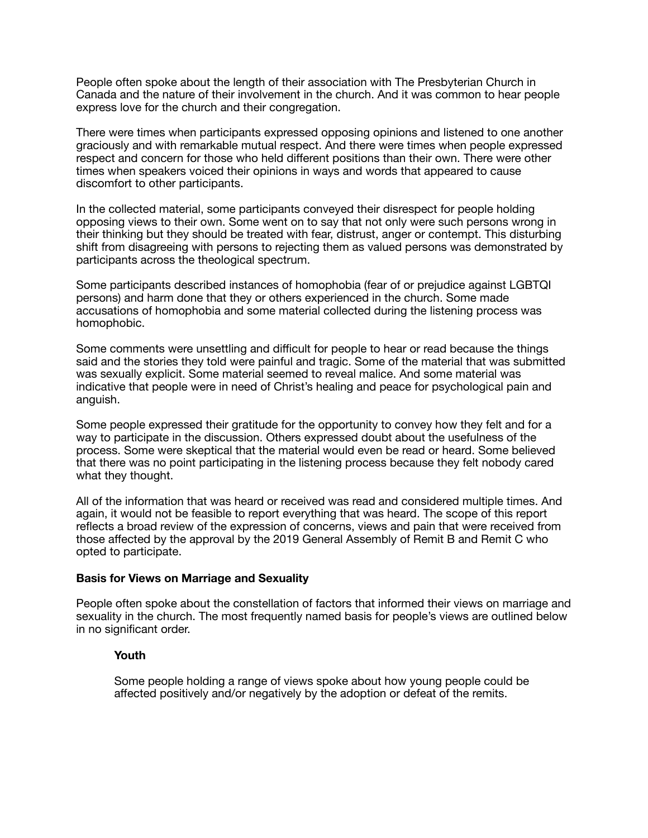People often spoke about the length of their association with The Presbyterian Church in Canada and the nature of their involvement in the church. And it was common to hear people express love for the church and their congregation.

There were times when participants expressed opposing opinions and listened to one another graciously and with remarkable mutual respect. And there were times when people expressed respect and concern for those who held different positions than their own. There were other times when speakers voiced their opinions in ways and words that appeared to cause discomfort to other participants.

In the collected material, some participants conveyed their disrespect for people holding opposing views to their own. Some went on to say that not only were such persons wrong in their thinking but they should be treated with fear, distrust, anger or contempt. This disturbing shift from disagreeing with persons to rejecting them as valued persons was demonstrated by participants across the theological spectrum.

Some participants described instances of homophobia (fear of or prejudice against LGBTQI persons) and harm done that they or others experienced in the church. Some made accusations of homophobia and some material collected during the listening process was homophobic.

Some comments were unsettling and difficult for people to hear or read because the things said and the stories they told were painful and tragic. Some of the material that was submitted was sexually explicit. Some material seemed to reveal malice. And some material was indicative that people were in need of Christ's healing and peace for psychological pain and anguish.

Some people expressed their gratitude for the opportunity to convey how they felt and for a way to participate in the discussion. Others expressed doubt about the usefulness of the process. Some were skeptical that the material would even be read or heard. Some believed that there was no point participating in the listening process because they felt nobody cared what they thought.

All of the information that was heard or received was read and considered multiple times. And again, it would not be feasible to report everything that was heard. The scope of this report reflects a broad review of the expression of concerns, views and pain that were received from those affected by the approval by the 2019 General Assembly of Remit B and Remit C who opted to participate.

#### **Basis for Views on Marriage and Sexuality**

People often spoke about the constellation of factors that informed their views on marriage and sexuality in the church. The most frequently named basis for people's views are outlined below in no significant order.

# **Youth**

Some people holding a range of views spoke about how young people could be affected positively and/or negatively by the adoption or defeat of the remits.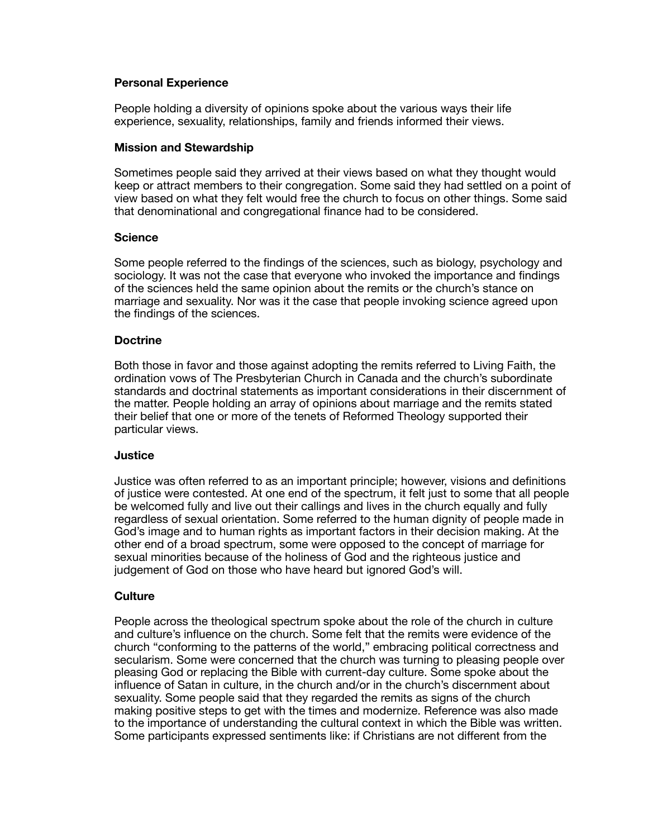### **Personal Experience**

People holding a diversity of opinions spoke about the various ways their life experience, sexuality, relationships, family and friends informed their views.

### **Mission and Stewardship**

Sometimes people said they arrived at their views based on what they thought would keep or attract members to their congregation. Some said they had settled on a point of view based on what they felt would free the church to focus on other things. Some said that denominational and congregational finance had to be considered.

#### **Science**

Some people referred to the findings of the sciences, such as biology, psychology and sociology. It was not the case that everyone who invoked the importance and findings of the sciences held the same opinion about the remits or the church's stance on marriage and sexuality. Nor was it the case that people invoking science agreed upon the findings of the sciences.

## **Doctrine**

Both those in favor and those against adopting the remits referred to Living Faith, the ordination vows of The Presbyterian Church in Canada and the church's subordinate standards and doctrinal statements as important considerations in their discernment of the matter. People holding an array of opinions about marriage and the remits stated their belief that one or more of the tenets of Reformed Theology supported their particular views.

#### **Justice**

Justice was often referred to as an important principle; however, visions and definitions of justice were contested. At one end of the spectrum, it felt just to some that all people be welcomed fully and live out their callings and lives in the church equally and fully regardless of sexual orientation. Some referred to the human dignity of people made in God's image and to human rights as important factors in their decision making. At the other end of a broad spectrum, some were opposed to the concept of marriage for sexual minorities because of the holiness of God and the righteous justice and judgement of God on those who have heard but ignored God's will.

#### **Culture**

People across the theological spectrum spoke about the role of the church in culture and culture's influence on the church. Some felt that the remits were evidence of the church "conforming to the patterns of the world," embracing political correctness and secularism. Some were concerned that the church was turning to pleasing people over pleasing God or replacing the Bible with current-day culture. Some spoke about the influence of Satan in culture, in the church and/or in the church's discernment about sexuality. Some people said that they regarded the remits as signs of the church making positive steps to get with the times and modernize. Reference was also made to the importance of understanding the cultural context in which the Bible was written. Some participants expressed sentiments like: if Christians are not different from the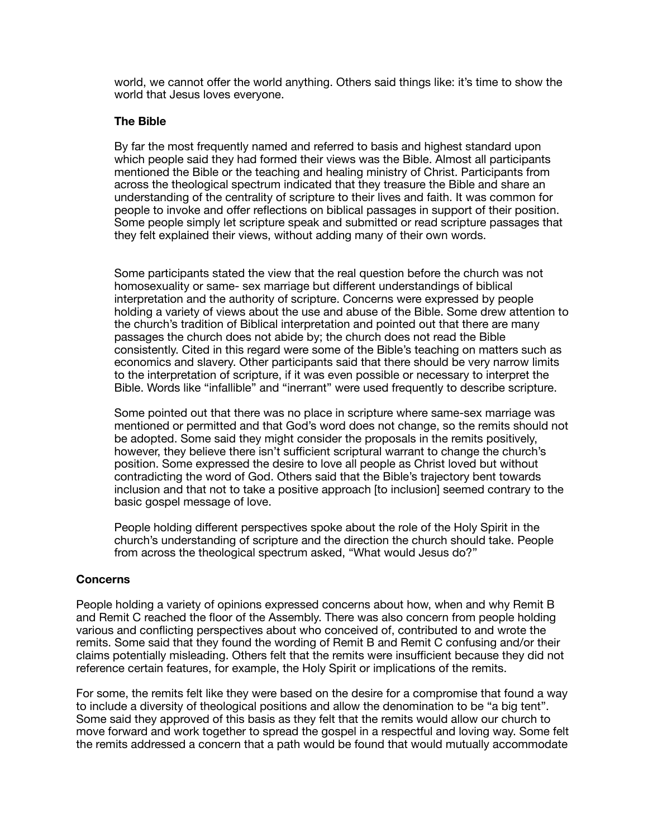world, we cannot offer the world anything. Others said things like: it's time to show the world that Jesus loves everyone.

## **The Bible**

By far the most frequently named and referred to basis and highest standard upon which people said they had formed their views was the Bible. Almost all participants mentioned the Bible or the teaching and healing ministry of Christ. Participants from across the theological spectrum indicated that they treasure the Bible and share an understanding of the centrality of scripture to their lives and faith. It was common for people to invoke and offer reflections on biblical passages in support of their position. Some people simply let scripture speak and submitted or read scripture passages that they felt explained their views, without adding many of their own words.

Some participants stated the view that the real question before the church was not homosexuality or same- sex marriage but different understandings of biblical interpretation and the authority of scripture. Concerns were expressed by people holding a variety of views about the use and abuse of the Bible. Some drew attention to the church's tradition of Biblical interpretation and pointed out that there are many passages the church does not abide by; the church does not read the Bible consistently. Cited in this regard were some of the Bible's teaching on matters such as economics and slavery. Other participants said that there should be very narrow limits to the interpretation of scripture, if it was even possible or necessary to interpret the Bible. Words like "infallible" and "inerrant" were used frequently to describe scripture.

Some pointed out that there was no place in scripture where same-sex marriage was mentioned or permitted and that God's word does not change, so the remits should not be adopted. Some said they might consider the proposals in the remits positively, however, they believe there isn't sufficient scriptural warrant to change the church's position. Some expressed the desire to love all people as Christ loved but without contradicting the word of God. Others said that the Bible's trajectory bent towards inclusion and that not to take a positive approach [to inclusion] seemed contrary to the basic gospel message of love.

People holding different perspectives spoke about the role of the Holy Spirit in the church's understanding of scripture and the direction the church should take. People from across the theological spectrum asked, "What would Jesus do?"

# **Concerns**

People holding a variety of opinions expressed concerns about how, when and why Remit B and Remit C reached the floor of the Assembly. There was also concern from people holding various and conflicting perspectives about who conceived of, contributed to and wrote the remits. Some said that they found the wording of Remit B and Remit C confusing and/or their claims potentially misleading. Others felt that the remits were insufficient because they did not reference certain features, for example, the Holy Spirit or implications of the remits.

For some, the remits felt like they were based on the desire for a compromise that found a way to include a diversity of theological positions and allow the denomination to be "a big tent". Some said they approved of this basis as they felt that the remits would allow our church to move forward and work together to spread the gospel in a respectful and loving way. Some felt the remits addressed a concern that a path would be found that would mutually accommodate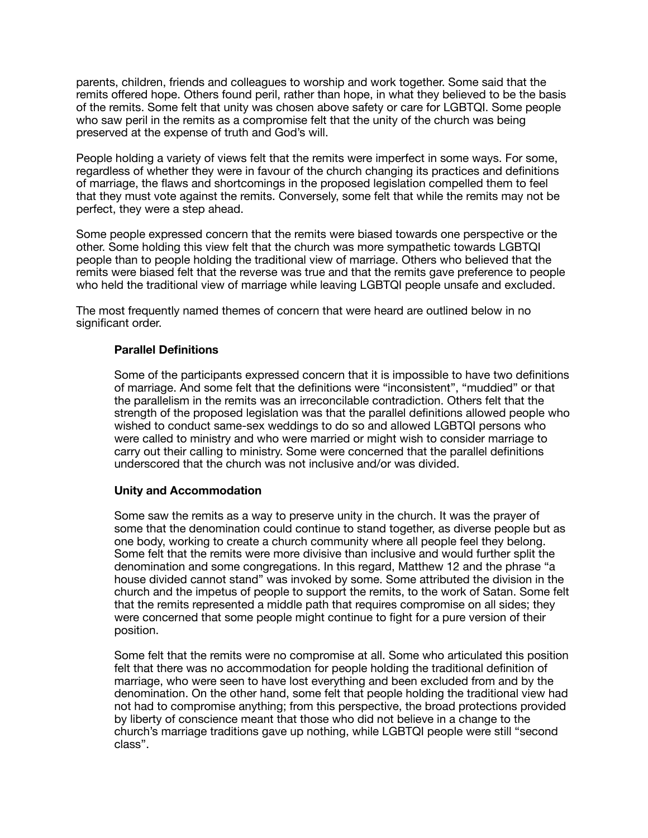parents, children, friends and colleagues to worship and work together. Some said that the remits offered hope. Others found peril, rather than hope, in what they believed to be the basis of the remits. Some felt that unity was chosen above safety or care for LGBTQI. Some people who saw peril in the remits as a compromise felt that the unity of the church was being preserved at the expense of truth and God's will.

People holding a variety of views felt that the remits were imperfect in some ways. For some, regardless of whether they were in favour of the church changing its practices and definitions of marriage, the flaws and shortcomings in the proposed legislation compelled them to feel that they must vote against the remits. Conversely, some felt that while the remits may not be perfect, they were a step ahead.

Some people expressed concern that the remits were biased towards one perspective or the other. Some holding this view felt that the church was more sympathetic towards LGBTQI people than to people holding the traditional view of marriage. Others who believed that the remits were biased felt that the reverse was true and that the remits gave preference to people who held the traditional view of marriage while leaving LGBTQI people unsafe and excluded.

The most frequently named themes of concern that were heard are outlined below in no significant order.

## **Parallel Definitions**

Some of the participants expressed concern that it is impossible to have two definitions of marriage. And some felt that the definitions were "inconsistent", "muddied" or that the parallelism in the remits was an irreconcilable contradiction. Others felt that the strength of the proposed legislation was that the parallel definitions allowed people who wished to conduct same-sex weddings to do so and allowed LGBTQI persons who were called to ministry and who were married or might wish to consider marriage to carry out their calling to ministry. Some were concerned that the parallel definitions underscored that the church was not inclusive and/or was divided.

#### **Unity and Accommodation**

Some saw the remits as a way to preserve unity in the church. It was the prayer of some that the denomination could continue to stand together, as diverse people but as one body, working to create a church community where all people feel they belong. Some felt that the remits were more divisive than inclusive and would further split the denomination and some congregations. In this regard, Matthew 12 and the phrase "a house divided cannot stand" was invoked by some. Some attributed the division in the church and the impetus of people to support the remits, to the work of Satan. Some felt that the remits represented a middle path that requires compromise on all sides; they were concerned that some people might continue to fight for a pure version of their position.

Some felt that the remits were no compromise at all. Some who articulated this position felt that there was no accommodation for people holding the traditional definition of marriage, who were seen to have lost everything and been excluded from and by the denomination. On the other hand, some felt that people holding the traditional view had not had to compromise anything; from this perspective, the broad protections provided by liberty of conscience meant that those who did not believe in a change to the church's marriage traditions gave up nothing, while LGBTQI people were still "second class".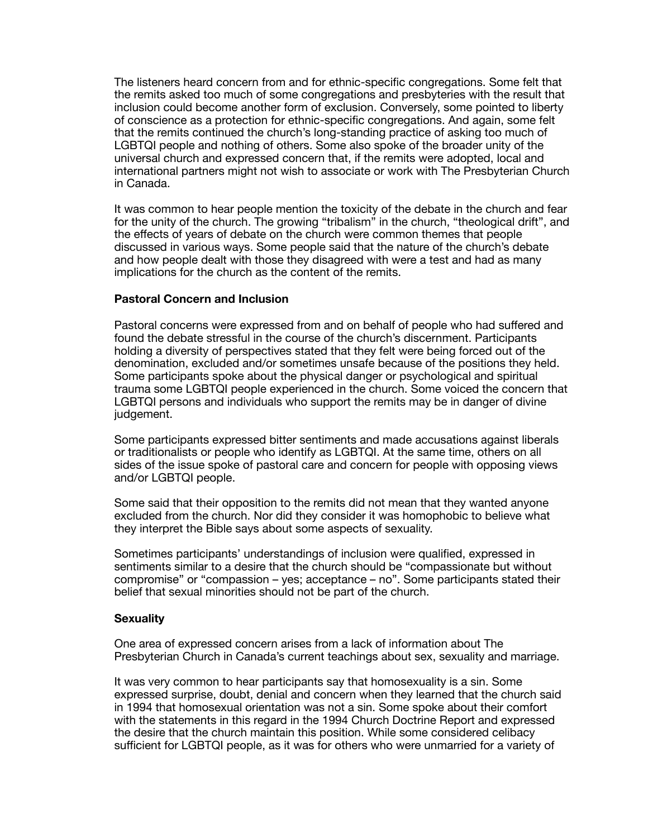The listeners heard concern from and for ethnic-specific congregations. Some felt that the remits asked too much of some congregations and presbyteries with the result that inclusion could become another form of exclusion. Conversely, some pointed to liberty of conscience as a protection for ethnic-specific congregations. And again, some felt that the remits continued the church's long-standing practice of asking too much of LGBTQI people and nothing of others. Some also spoke of the broader unity of the universal church and expressed concern that, if the remits were adopted, local and international partners might not wish to associate or work with The Presbyterian Church in Canada.

It was common to hear people mention the toxicity of the debate in the church and fear for the unity of the church. The growing "tribalism" in the church, "theological drift", and the effects of years of debate on the church were common themes that people discussed in various ways. Some people said that the nature of the church's debate and how people dealt with those they disagreed with were a test and had as many implications for the church as the content of the remits.

#### **Pastoral Concern and Inclusion**

Pastoral concerns were expressed from and on behalf of people who had suffered and found the debate stressful in the course of the church's discernment. Participants holding a diversity of perspectives stated that they felt were being forced out of the denomination, excluded and/or sometimes unsafe because of the positions they held. Some participants spoke about the physical danger or psychological and spiritual trauma some LGBTQI people experienced in the church. Some voiced the concern that LGBTQI persons and individuals who support the remits may be in danger of divine judgement.

Some participants expressed bitter sentiments and made accusations against liberals or traditionalists or people who identify as LGBTQI. At the same time, others on all sides of the issue spoke of pastoral care and concern for people with opposing views and/or LGBTQI people.

Some said that their opposition to the remits did not mean that they wanted anyone excluded from the church. Nor did they consider it was homophobic to believe what they interpret the Bible says about some aspects of sexuality.

Sometimes participants' understandings of inclusion were qualified, expressed in sentiments similar to a desire that the church should be "compassionate but without compromise" or "compassion – yes; acceptance – no". Some participants stated their belief that sexual minorities should not be part of the church.

#### **Sexuality**

One area of expressed concern arises from a lack of information about The Presbyterian Church in Canada's current teachings about sex, sexuality and marriage.

It was very common to hear participants say that homosexuality is a sin. Some expressed surprise, doubt, denial and concern when they learned that the church said in 1994 that homosexual orientation was not a sin. Some spoke about their comfort with the statements in this regard in the 1994 Church Doctrine Report and expressed the desire that the church maintain this position. While some considered celibacy sufficient for LGBTQI people, as it was for others who were unmarried for a variety of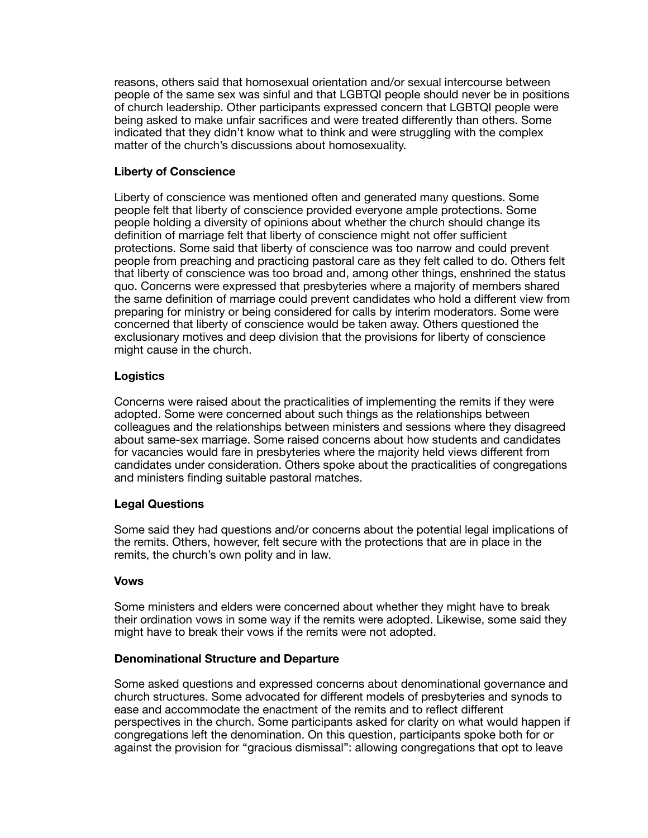reasons, others said that homosexual orientation and/or sexual intercourse between people of the same sex was sinful and that LGBTQI people should never be in positions of church leadership. Other participants expressed concern that LGBTQI people were being asked to make unfair sacrifices and were treated differently than others. Some indicated that they didn't know what to think and were struggling with the complex matter of the church's discussions about homosexuality.

## **Liberty of Conscience**

Liberty of conscience was mentioned often and generated many questions. Some people felt that liberty of conscience provided everyone ample protections. Some people holding a diversity of opinions about whether the church should change its definition of marriage felt that liberty of conscience might not offer sufficient protections. Some said that liberty of conscience was too narrow and could prevent people from preaching and practicing pastoral care as they felt called to do. Others felt that liberty of conscience was too broad and, among other things, enshrined the status quo. Concerns were expressed that presbyteries where a majority of members shared the same definition of marriage could prevent candidates who hold a different view from preparing for ministry or being considered for calls by interim moderators. Some were concerned that liberty of conscience would be taken away. Others questioned the exclusionary motives and deep division that the provisions for liberty of conscience might cause in the church.

## **Logistics**

Concerns were raised about the practicalities of implementing the remits if they were adopted. Some were concerned about such things as the relationships between colleagues and the relationships between ministers and sessions where they disagreed about same-sex marriage. Some raised concerns about how students and candidates for vacancies would fare in presbyteries where the majority held views different from candidates under consideration. Others spoke about the practicalities of congregations and ministers finding suitable pastoral matches.

# **Legal Questions**

Some said they had questions and/or concerns about the potential legal implications of the remits. Others, however, felt secure with the protections that are in place in the remits, the church's own polity and in law.

#### **Vows**

Some ministers and elders were concerned about whether they might have to break their ordination vows in some way if the remits were adopted. Likewise, some said they might have to break their vows if the remits were not adopted.

#### **Denominational Structure and Departure**

Some asked questions and expressed concerns about denominational governance and church structures. Some advocated for different models of presbyteries and synods to ease and accommodate the enactment of the remits and to reflect different perspectives in the church. Some participants asked for clarity on what would happen if congregations left the denomination. On this question, participants spoke both for or against the provision for "gracious dismissal": allowing congregations that opt to leave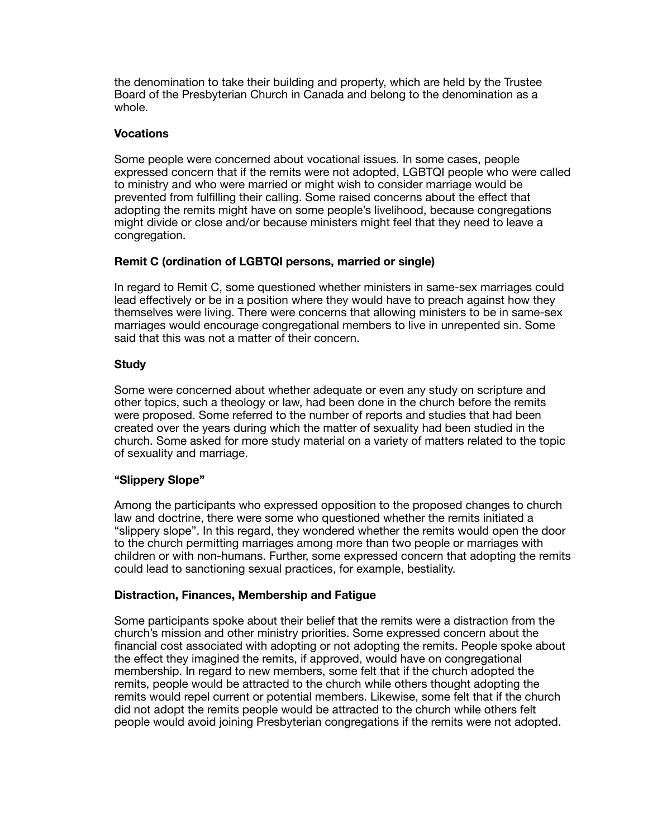the denomination to take their building and property, which are held by the Trustee Board of the Presbyterian Church in Canada and belong to the denomination as a whole.

# **Vocations**

Some people were concerned about vocational issues. In some cases, people expressed concern that if the remits were not adopted, LGBTQI people who were called to ministry and who were married or might wish to consider marriage would be prevented from fulfilling their calling. Some raised concerns about the effect that adopting the remits might have on some people's livelihood, because congregations might divide or close and/or because ministers might feel that they need to leave a congregation.

# **Remit C (ordination of LGBTQI persons, married or single)**

In regard to Remit C, some questioned whether ministers in same-sex marriages could lead effectively or be in a position where they would have to preach against how they themselves were living. There were concerns that allowing ministers to be in same-sex marriages would encourage congregational members to live in unrepented sin. Some said that this was not a matter of their concern.

# **Study**

Some were concerned about whether adequate or even any study on scripture and other topics, such a theology or law, had been done in the church before the remits were proposed. Some referred to the number of reports and studies that had been created over the years during which the matter of sexuality had been studied in the church. Some asked for more study material on a variety of matters related to the topic of sexuality and marriage.

#### **"Slippery Slope"**

Among the participants who expressed opposition to the proposed changes to church law and doctrine, there were some who questioned whether the remits initiated a "slippery slope". In this regard, they wondered whether the remits would open the door to the church permitting marriages among more than two people or marriages with children or with non-humans. Further, some expressed concern that adopting the remits could lead to sanctioning sexual practices, for example, bestiality.

#### **Distraction, Finances, Membership and Fatigue**

Some participants spoke about their belief that the remits were a distraction from the church's mission and other ministry priorities. Some expressed concern about the financial cost associated with adopting or not adopting the remits. People spoke about the effect they imagined the remits, if approved, would have on congregational membership. In regard to new members, some felt that if the church adopted the remits, people would be attracted to the church while others thought adopting the remits would repel current or potential members. Likewise, some felt that if the church did not adopt the remits people would be attracted to the church while others felt people would avoid joining Presbyterian congregations if the remits were not adopted.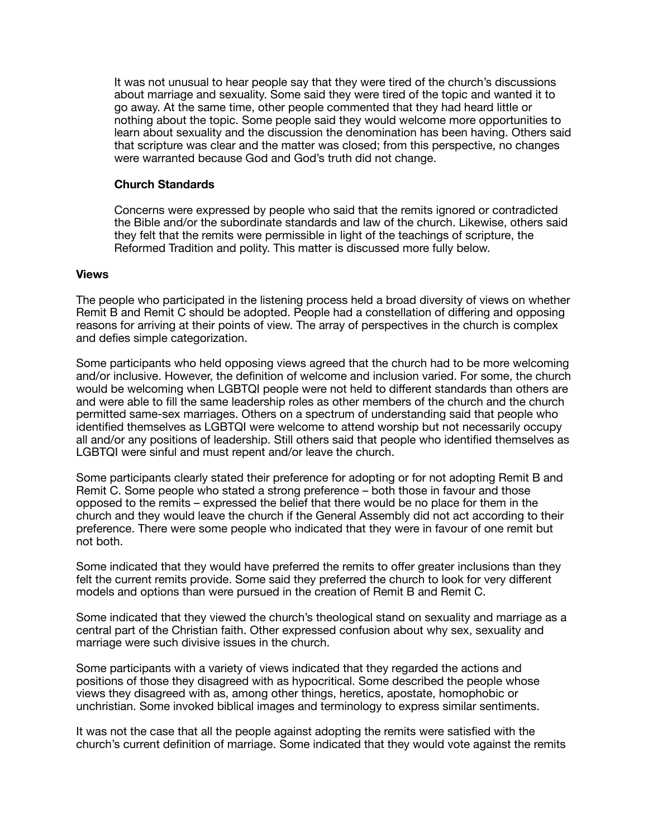It was not unusual to hear people say that they were tired of the church's discussions about marriage and sexuality. Some said they were tired of the topic and wanted it to go away. At the same time, other people commented that they had heard little or nothing about the topic. Some people said they would welcome more opportunities to learn about sexuality and the discussion the denomination has been having. Others said that scripture was clear and the matter was closed; from this perspective, no changes were warranted because God and God's truth did not change.

### **Church Standards**

Concerns were expressed by people who said that the remits ignored or contradicted the Bible and/or the subordinate standards and law of the church. Likewise, others said they felt that the remits were permissible in light of the teachings of scripture, the Reformed Tradition and polity. This matter is discussed more fully below.

#### **Views**

The people who participated in the listening process held a broad diversity of views on whether Remit B and Remit C should be adopted. People had a constellation of differing and opposing reasons for arriving at their points of view. The array of perspectives in the church is complex and defies simple categorization.

Some participants who held opposing views agreed that the church had to be more welcoming and/or inclusive. However, the definition of welcome and inclusion varied. For some, the church would be welcoming when LGBTQI people were not held to different standards than others are and were able to fill the same leadership roles as other members of the church and the church permitted same-sex marriages. Others on a spectrum of understanding said that people who identified themselves as LGBTQI were welcome to attend worship but not necessarily occupy all and/or any positions of leadership. Still others said that people who identified themselves as LGBTQI were sinful and must repent and/or leave the church.

Some participants clearly stated their preference for adopting or for not adopting Remit B and Remit C. Some people who stated a strong preference – both those in favour and those opposed to the remits – expressed the belief that there would be no place for them in the church and they would leave the church if the General Assembly did not act according to their preference. There were some people who indicated that they were in favour of one remit but not both.

Some indicated that they would have preferred the remits to offer greater inclusions than they felt the current remits provide. Some said they preferred the church to look for very different models and options than were pursued in the creation of Remit B and Remit C.

Some indicated that they viewed the church's theological stand on sexuality and marriage as a central part of the Christian faith. Other expressed confusion about why sex, sexuality and marriage were such divisive issues in the church.

Some participants with a variety of views indicated that they regarded the actions and positions of those they disagreed with as hypocritical. Some described the people whose views they disagreed with as, among other things, heretics, apostate, homophobic or unchristian. Some invoked biblical images and terminology to express similar sentiments.

It was not the case that all the people against adopting the remits were satisfied with the church's current definition of marriage. Some indicated that they would vote against the remits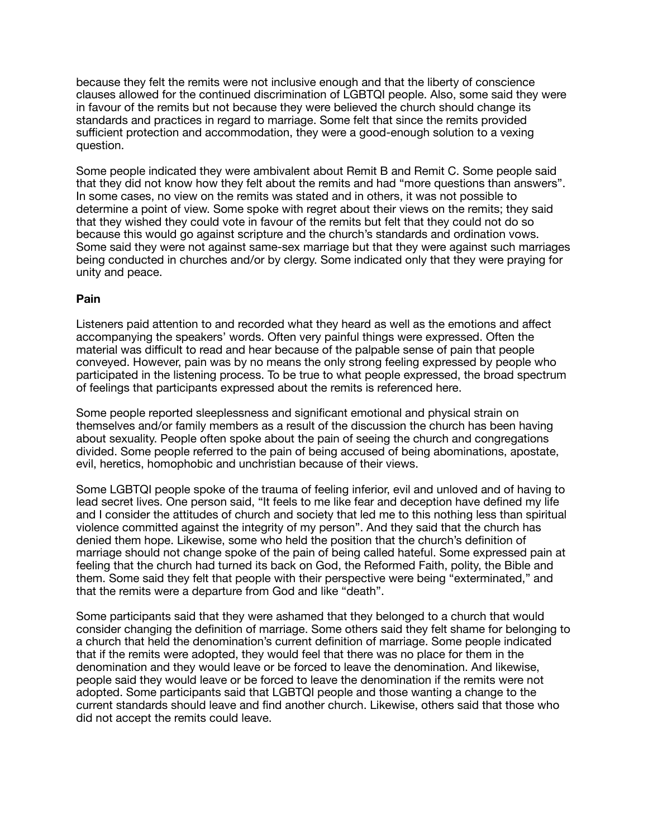because they felt the remits were not inclusive enough and that the liberty of conscience clauses allowed for the continued discrimination of LGBTQI people. Also, some said they were in favour of the remits but not because they were believed the church should change its standards and practices in regard to marriage. Some felt that since the remits provided sufficient protection and accommodation, they were a good-enough solution to a vexing question.

Some people indicated they were ambivalent about Remit B and Remit C. Some people said that they did not know how they felt about the remits and had "more questions than answers". In some cases, no view on the remits was stated and in others, it was not possible to determine a point of view. Some spoke with regret about their views on the remits; they said that they wished they could vote in favour of the remits but felt that they could not do so because this would go against scripture and the church's standards and ordination vows. Some said they were not against same-sex marriage but that they were against such marriages being conducted in churches and/or by clergy. Some indicated only that they were praying for unity and peace.

# **Pain**

Listeners paid attention to and recorded what they heard as well as the emotions and affect accompanying the speakers' words. Often very painful things were expressed. Often the material was difficult to read and hear because of the palpable sense of pain that people conveyed. However, pain was by no means the only strong feeling expressed by people who participated in the listening process. To be true to what people expressed, the broad spectrum of feelings that participants expressed about the remits is referenced here.

Some people reported sleeplessness and significant emotional and physical strain on themselves and/or family members as a result of the discussion the church has been having about sexuality. People often spoke about the pain of seeing the church and congregations divided. Some people referred to the pain of being accused of being abominations, apostate, evil, heretics, homophobic and unchristian because of their views.

Some LGBTQI people spoke of the trauma of feeling inferior, evil and unloved and of having to lead secret lives. One person said, "It feels to me like fear and deception have defined my life and I consider the attitudes of church and society that led me to this nothing less than spiritual violence committed against the integrity of my person". And they said that the church has denied them hope. Likewise, some who held the position that the church's definition of marriage should not change spoke of the pain of being called hateful. Some expressed pain at feeling that the church had turned its back on God, the Reformed Faith, polity, the Bible and them. Some said they felt that people with their perspective were being "exterminated," and that the remits were a departure from God and like "death".

Some participants said that they were ashamed that they belonged to a church that would consider changing the definition of marriage. Some others said they felt shame for belonging to a church that held the denomination's current definition of marriage. Some people indicated that if the remits were adopted, they would feel that there was no place for them in the denomination and they would leave or be forced to leave the denomination. And likewise, people said they would leave or be forced to leave the denomination if the remits were not adopted. Some participants said that LGBTQI people and those wanting a change to the current standards should leave and find another church. Likewise, others said that those who did not accept the remits could leave.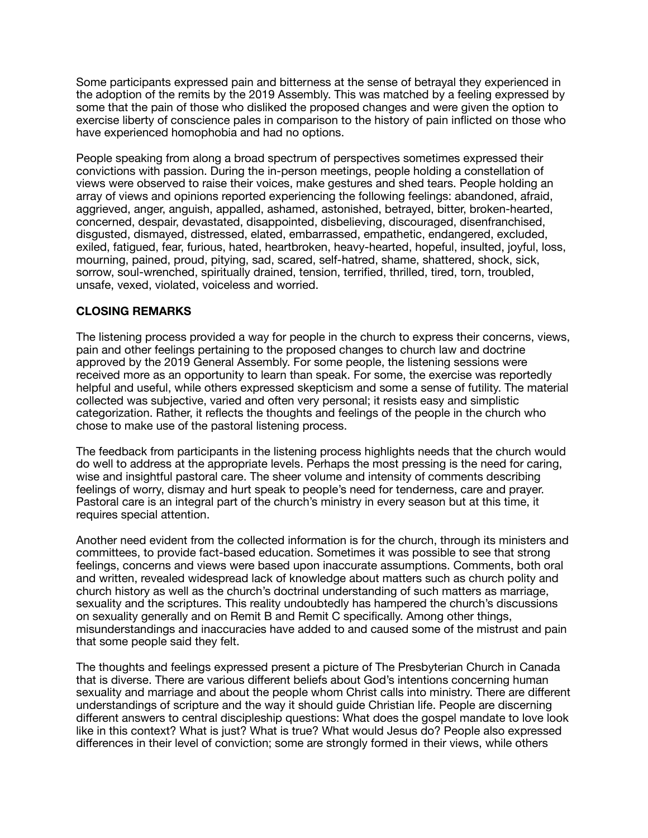Some participants expressed pain and bitterness at the sense of betrayal they experienced in the adoption of the remits by the 2019 Assembly. This was matched by a feeling expressed by some that the pain of those who disliked the proposed changes and were given the option to exercise liberty of conscience pales in comparison to the history of pain inflicted on those who have experienced homophobia and had no options.

People speaking from along a broad spectrum of perspectives sometimes expressed their convictions with passion. During the in-person meetings, people holding a constellation of views were observed to raise their voices, make gestures and shed tears. People holding an array of views and opinions reported experiencing the following feelings: abandoned, afraid, aggrieved, anger, anguish, appalled, ashamed, astonished, betrayed, bitter, broken-hearted, concerned, despair, devastated, disappointed, disbelieving, discouraged, disenfranchised, disgusted, dismayed, distressed, elated, embarrassed, empathetic, endangered, excluded, exiled, fatigued, fear, furious, hated, heartbroken, heavy-hearted, hopeful, insulted, joyful, loss, mourning, pained, proud, pitying, sad, scared, self-hatred, shame, shattered, shock, sick, sorrow, soul-wrenched, spiritually drained, tension, terrified, thrilled, tired, torn, troubled, unsafe, vexed, violated, voiceless and worried.

# **CLOSING REMARKS**

The listening process provided a way for people in the church to express their concerns, views, pain and other feelings pertaining to the proposed changes to church law and doctrine approved by the 2019 General Assembly. For some people, the listening sessions were received more as an opportunity to learn than speak. For some, the exercise was reportedly helpful and useful, while others expressed skepticism and some a sense of futility. The material collected was subjective, varied and often very personal; it resists easy and simplistic categorization. Rather, it reflects the thoughts and feelings of the people in the church who chose to make use of the pastoral listening process.

The feedback from participants in the listening process highlights needs that the church would do well to address at the appropriate levels. Perhaps the most pressing is the need for caring, wise and insightful pastoral care. The sheer volume and intensity of comments describing feelings of worry, dismay and hurt speak to people's need for tenderness, care and prayer. Pastoral care is an integral part of the church's ministry in every season but at this time, it requires special attention.

Another need evident from the collected information is for the church, through its ministers and committees, to provide fact-based education. Sometimes it was possible to see that strong feelings, concerns and views were based upon inaccurate assumptions. Comments, both oral and written, revealed widespread lack of knowledge about matters such as church polity and church history as well as the church's doctrinal understanding of such matters as marriage, sexuality and the scriptures. This reality undoubtedly has hampered the church's discussions on sexuality generally and on Remit B and Remit C specifically. Among other things, misunderstandings and inaccuracies have added to and caused some of the mistrust and pain that some people said they felt.

The thoughts and feelings expressed present a picture of The Presbyterian Church in Canada that is diverse. There are various different beliefs about God's intentions concerning human sexuality and marriage and about the people whom Christ calls into ministry. There are different understandings of scripture and the way it should guide Christian life. People are discerning different answers to central discipleship questions: What does the gospel mandate to love look like in this context? What is just? What is true? What would Jesus do? People also expressed differences in their level of conviction; some are strongly formed in their views, while others